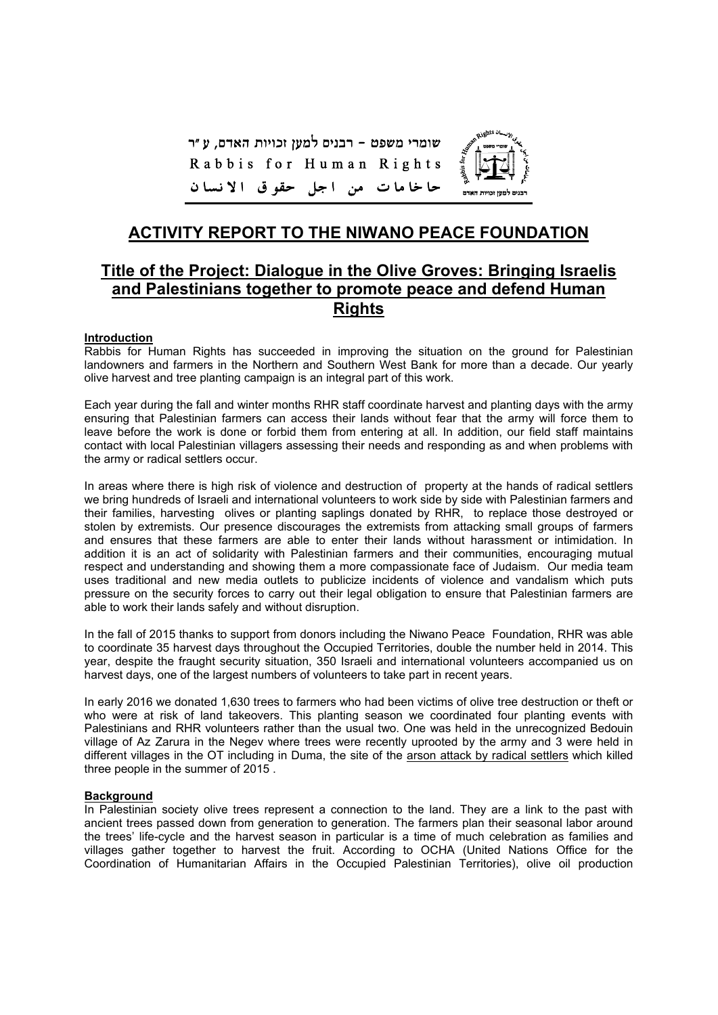שומרי משפט - רבנים למען זכויות האדם, ע"ר Rabbis for Human Rights حا خا ما ت من اجل حقوق الانسان



# **Title of the Project: Dialogue in the Olive Groves: Bringing Israelis and Palestinians together to promote peace and defend Human Rights**

#### **Introduction**

Rabbis for Human Rights has succeeded in improving the situation on the ground for Palestinian landowners and farmers in the Northern and Southern West Bank for more than a decade. Our yearly olive harvest and tree planting campaign is an integral part of this work.

Each year during the fall and winter months RHR staff coordinate harvest and planting days with the army ensuring that Palestinian farmers can access their lands without fear that the army will force them to leave before the work is done or forbid them from entering at all. In addition, our field staff maintains contact with local Palestinian villagers assessing their needs and responding as and when problems with the army or radical settlers occur.

In areas where there is high risk of violence and destruction of property at the hands of radical settlers we bring hundreds of Israeli and international volunteers to work side by side with Palestinian farmers and their families, harvesting olives or planting saplings donated by RHR, to replace those destroyed or stolen by extremists. Our presence discourages the extremists from attacking small groups of farmers and ensures that these farmers are able to enter their lands without harassment or intimidation. In addition it is an act of solidarity with Palestinian farmers and their communities, encouraging mutual respect and understanding and showing them a more compassionate face of Judaism. Our media team uses traditional and new media outlets to publicize incidents of violence and vandalism which puts pressure on the security forces to carry out their legal obligation to ensure that Palestinian farmers are able to work their lands safely and without disruption.

In the fall of 2015 thanks to support from donors including the Niwano Peace Foundation, RHR was able to coordinate 35 harvest days throughout the Occupied Territories, double the number held in 2014. This year, despite the fraught security situation, 350 Israeli and international volunteers accompanied us on harvest days, one of the largest numbers of volunteers to take part in recent years.

In early 2016 we donated 1,630 trees to farmers who had been victims of olive tree destruction or theft or who were at risk of land takeovers. This planting season we coordinated four planting events with Palestinians and RHR volunteers rather than the usual two. One was held in the unrecognized Bedouin village of Az Zarura in the Negev where trees were recently uprooted by the army and 3 were held in different villages in the OT including in Duma, the site of the arson attack by radical settlers which killed three people in the summer of 2015 .

#### **Background**

In Palestinian society olive trees represent a connection to the land. They are a link to the past with ancient trees passed down from generation to generation. The farmers plan their seasonal labor around the trees' life-cycle and the harvest season in particular is a time of much celebration as families and villages gather together to harvest the fruit. According to OCHA (United Nations Office for the Coordination of Humanitarian Affairs in the Occupied Palestinian Territories), olive oil production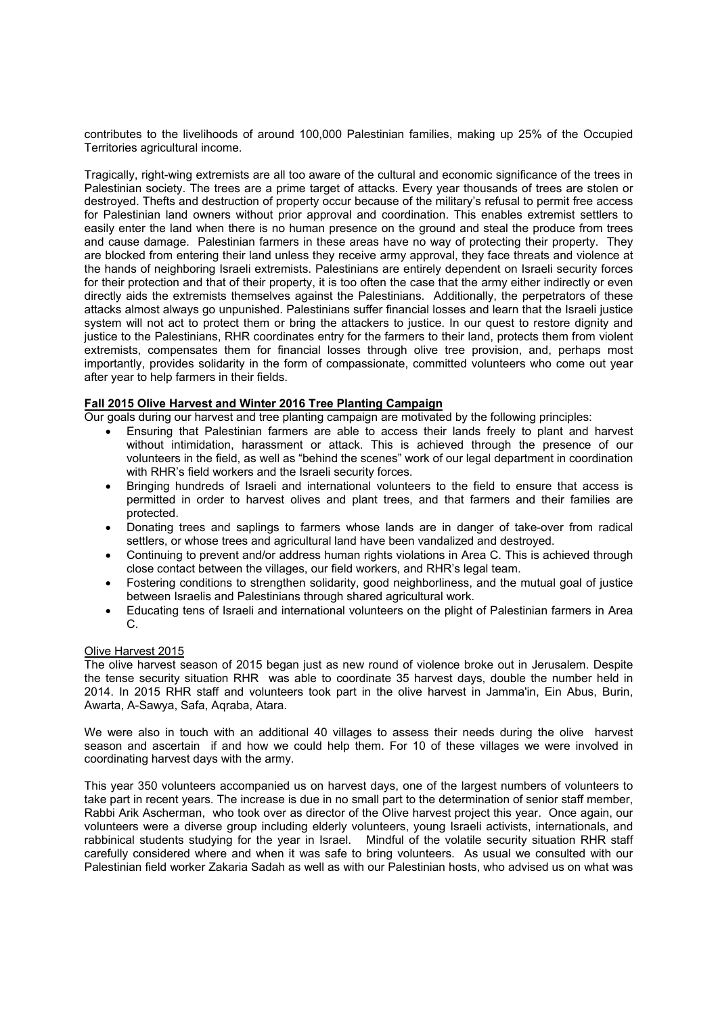contributes to the livelihoods of around 100,000 Palestinian families, making up 25% of the Occupied Territories agricultural income.

Tragically, right-wing extremists are all too aware of the cultural and economic significance of the trees in Palestinian society. The trees are a prime target of attacks. Every year thousands of trees are stolen or destroyed. Thefts and destruction of property occur because of the military's refusal to permit free access for Palestinian land owners without prior approval and coordination. This enables extremist settlers to easily enter the land when there is no human presence on the ground and steal the produce from trees and cause damage. Palestinian farmers in these areas have no way of protecting their property. They are blocked from entering their land unless they receive army approval, they face threats and violence at the hands of neighboring Israeli extremists. Palestinians are entirely dependent on Israeli security forces for their protection and that of their property, it is too often the case that the army either indirectly or even directly aids the extremists themselves against the Palestinians. Additionally, the perpetrators of these attacks almost always go unpunished. Palestinians suffer financial losses and learn that the Israeli justice system will not act to protect them or bring the attackers to justice. In our quest to restore dignity and justice to the Palestinians, RHR coordinates entry for the farmers to their land, protects them from violent extremists, compensates them for financial losses through olive tree provision, and, perhaps most importantly, provides solidarity in the form of compassionate, committed volunteers who come out year after year to help farmers in their fields.

## **Fall 2015 Olive Harvest and Winter 2016 Tree Planting Campaign**

Our goals during our harvest and tree planting campaign are motivated by the following principles:

- Ensuring that Palestinian farmers are able to access their lands freely to plant and harvest without intimidation, harassment or attack. This is achieved through the presence of our volunteers in the field, as well as "behind the scenes" work of our legal department in coordination with RHR's field workers and the Israeli security forces.
- Bringing hundreds of Israeli and international volunteers to the field to ensure that access is permitted in order to harvest olives and plant trees, and that farmers and their families are protected.
- Donating trees and saplings to farmers whose lands are in danger of take-over from radical settlers, or whose trees and agricultural land have been vandalized and destroyed.
- Continuing to prevent and/or address human rights violations in Area C. This is achieved through close contact between the villages, our field workers, and RHR's legal team.
- Fostering conditions to strengthen solidarity, good neighborliness, and the mutual goal of justice between Israelis and Palestinians through shared agricultural work.
- Educating tens of Israeli and international volunteers on the plight of Palestinian farmers in Area C.

#### Olive Harvest 2015

The olive harvest season of 2015 began just as new round of violence broke out in Jerusalem. Despite the tense security situation RHR was able to coordinate 35 harvest days, double the number held in 2014. In 2015 RHR staff and volunteers took part in the olive harvest in Jamma'in, Ein Abus, Burin, Awarta, A-Sawya, Safa, Aqraba, Atara.

We were also in touch with an additional 40 villages to assess their needs during the olive harvest season and ascertain if and how we could help them. For 10 of these villages we were involved in coordinating harvest days with the army.

This year 350 volunteers accompanied us on harvest days, one of the largest numbers of volunteers to take part in recent years. The increase is due in no small part to the determination of senior staff member, Rabbi Arik Ascherman, who took over as director of the Olive harvest project this year. Once again, our volunteers were a diverse group including elderly volunteers, young Israeli activists, internationals, and rabbinical students studying for the year in Israel. Mindful of the volatile security situation RHR staff carefully considered where and when it was safe to bring volunteers. As usual we consulted with our Palestinian field worker Zakaria Sadah as well as with our Palestinian hosts, who advised us on what was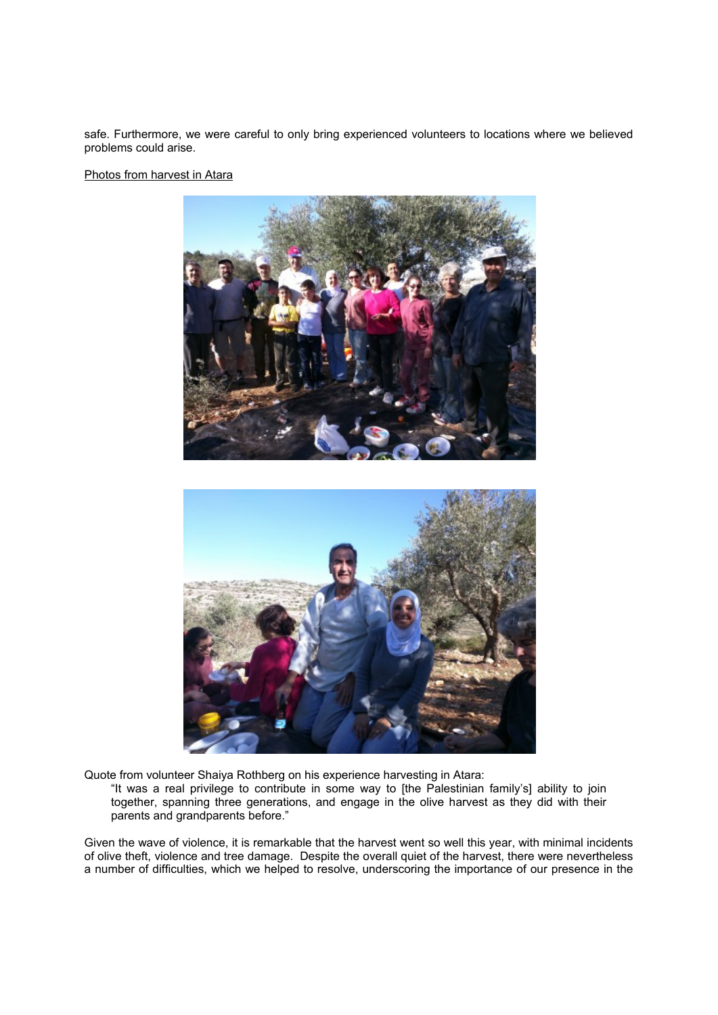safe. Furthermore, we were careful to only bring experienced volunteers to locations where we believed problems could arise.

Photos from harvest in Atara





Quote from volunteer Shaiya Rothberg on his experience harvesting in Atara:

"It was a real privilege to contribute in some way to [the Palestinian family's] ability to join together, spanning three generations, and engage in the olive harvest as they did with their parents and grandparents before."

Given the wave of violence, it is remarkable that the harvest went so well this year, with minimal incidents of olive theft, violence and tree damage. Despite the overall quiet of the harvest, there were nevertheless a number of difficulties, which we helped to resolve, underscoring the importance of our presence in the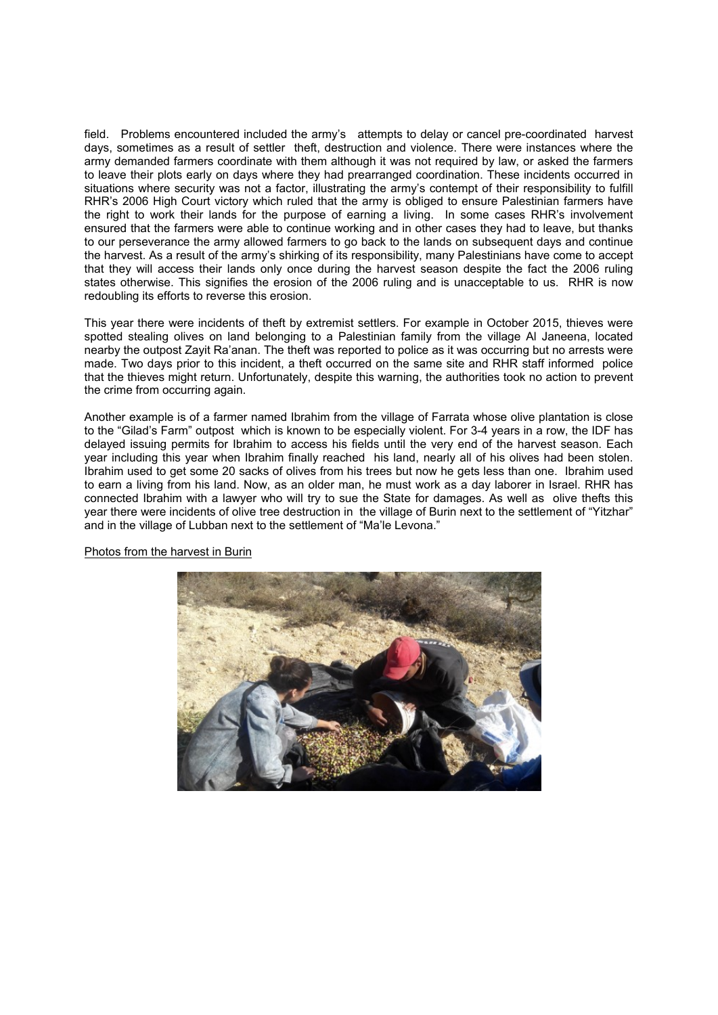field. Problems encountered included the army's attempts to delay or cancel pre-coordinated harvest days, sometimes as a result of settler theft, destruction and violence. There were instances where the army demanded farmers coordinate with them although it was not required by law, or asked the farmers to leave their plots early on days where they had prearranged coordination. These incidents occurred in situations where security was not a factor, illustrating the army's contempt of their responsibility to fulfill RHR's 2006 High Court victory which ruled that the army is obliged to ensure Palestinian farmers have the right to work their lands for the purpose of earning a living. In some cases RHR's involvement ensured that the farmers were able to continue working and in other cases they had to leave, but thanks to our perseverance the army allowed farmers to go back to the lands on subsequent days and continue the harvest. As a result of the army's shirking of its responsibility, many Palestinians have come to accept that they will access their lands only once during the harvest season despite the fact the 2006 ruling states otherwise. This signifies the erosion of the 2006 ruling and is unacceptable to us. RHR is now redoubling its efforts to reverse this erosion.

This year there were incidents of theft by extremist settlers. For example in October 2015, thieves were spotted stealing olives on land belonging to a Palestinian family from the village Al Janeena, located nearby the outpost Zayit Ra'anan. The theft was reported to police as it was occurring but no arrests were made. Two days prior to this incident, a theft occurred on the same site and RHR staff informed police that the thieves might return. Unfortunately, despite this warning, the authorities took no action to prevent the crime from occurring again.

Another example is of a farmer named Ibrahim from the village of Farrata whose olive plantation is close to the "Gilad's Farm" outpost which is known to be especially violent. For 3-4 years in a row, the IDF has delayed issuing permits for Ibrahim to access his fields until the very end of the harvest season. Each year including this year when Ibrahim finally reached his land, nearly all of his olives had been stolen. Ibrahim used to get some 20 sacks of olives from his trees but now he gets less than one. Ibrahim used to earn a living from his land. Now, as an older man, he must work as a day laborer in Israel. RHR has connected Ibrahim with a lawyer who will try to sue the State for damages. As well as olive thefts this year there were incidents of olive tree destruction in the village of Burin next to the settlement of "Yitzhar" and in the village of Lubban next to the settlement of "Ma'le Levona."



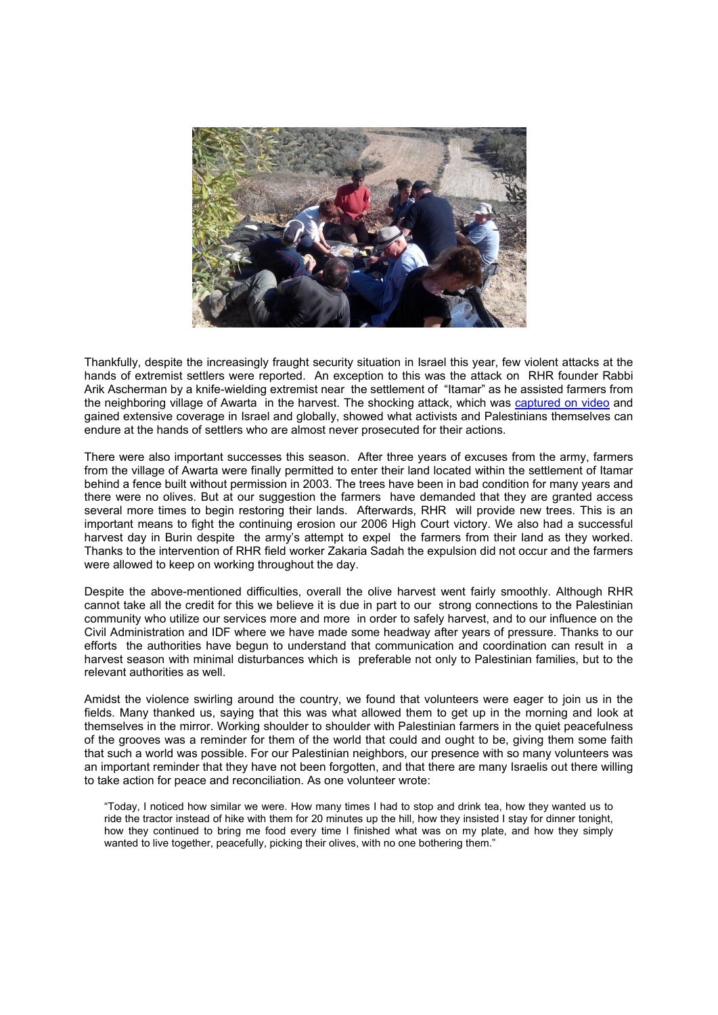

Thankfully, despite the increasingly fraught security situation in Israel this year, few violent attacks at the hands of extremist settlers were reported. An exception to this was the attack on RHR founder Rabbi Arik Ascherman by a knife-wielding extremist near the settlement of "Itamar" as he assisted farmers from the neighboring village of Awarta in the harvest. The shocking attack, which was captured on video and gained extensive coverage in Israel and globally, showed what activists and Palestinians themselves can endure at the hands of settlers who are almost never prosecuted for their actions.

There were also important successes this season. After three years of excuses from the army, farmers from the village of Awarta were finally permitted to enter their land located within the settlement of Itamar behind a fence built without permission in 2003. The trees have been in bad condition for many years and there were no olives. But at our suggestion the farmers have demanded that they are granted access several more times to begin restoring their lands. Afterwards, RHR will provide new trees. This is an important means to fight the continuing erosion our 2006 High Court victory. We also had a successful harvest day in Burin despite the army's attempt to expel the farmers from their land as they worked. Thanks to the intervention of RHR field worker Zakaria Sadah the expulsion did not occur and the farmers were allowed to keep on working throughout the day.

Despite the above-mentioned difficulties, overall the olive harvest went fairly smoothly. Although RHR cannot take all the credit for this we believe it is due in part to our strong connections to the Palestinian community who utilize our services more and more in order to safely harvest, and to our influence on the Civil Administration and IDF where we have made some headway after years of pressure. Thanks to our efforts the authorities have begun to understand that communication and coordination can result in a harvest season with minimal disturbances which is preferable not only to Palestinian families, but to the relevant authorities as well.

Amidst the violence swirling around the country, we found that volunteers were eager to join us in the fields. Many thanked us, saying that this was what allowed them to get up in the morning and look at themselves in the mirror. Working shoulder to shoulder with Palestinian farmers in the quiet peacefulness of the grooves was a reminder for them of the world that could and ought to be, giving them some faith that such a world was possible. For our Palestinian neighbors, our presence with so many volunteers was an important reminder that they have not been forgotten, and that there are many Israelis out there willing to take action for peace and reconciliation. As one volunteer wrote:

"Today, I noticed how similar we were. How many times I had to stop and drink tea, how they wanted us to ride the tractor instead of hike with them for 20 minutes up the hill, how they insisted I stay for dinner tonight, how they continued to bring me food every time I finished what was on my plate, and how they simply wanted to live together, peacefully, picking their olives, with no one bothering them."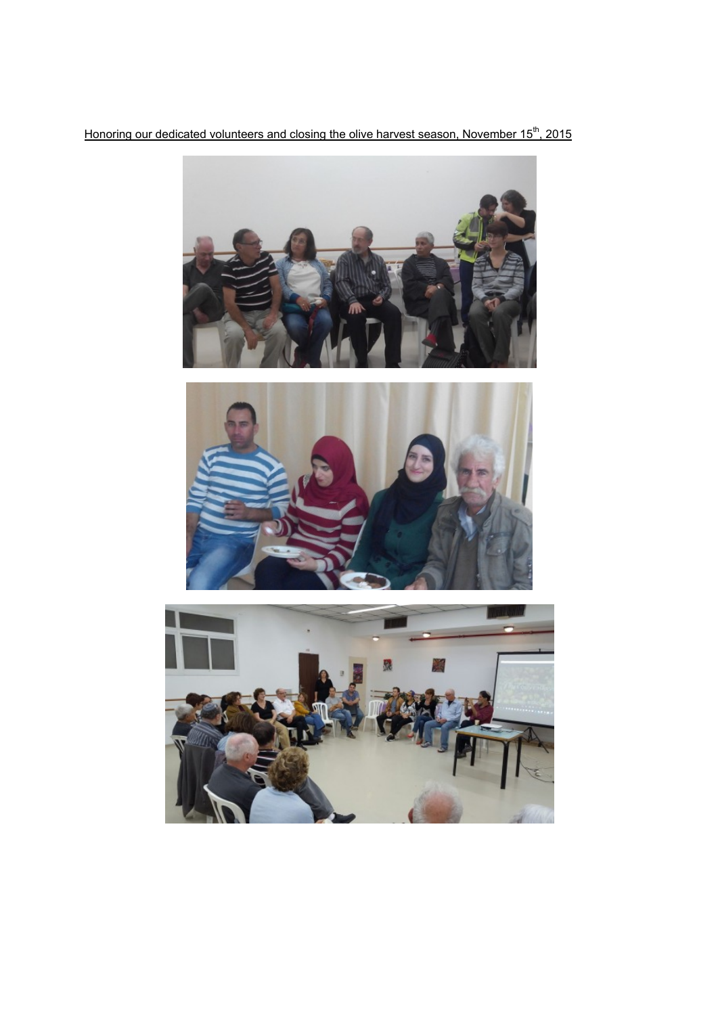Honoring our dedicated volunteers and closing the olive harvest season, November 15<sup>th</sup>, 2015





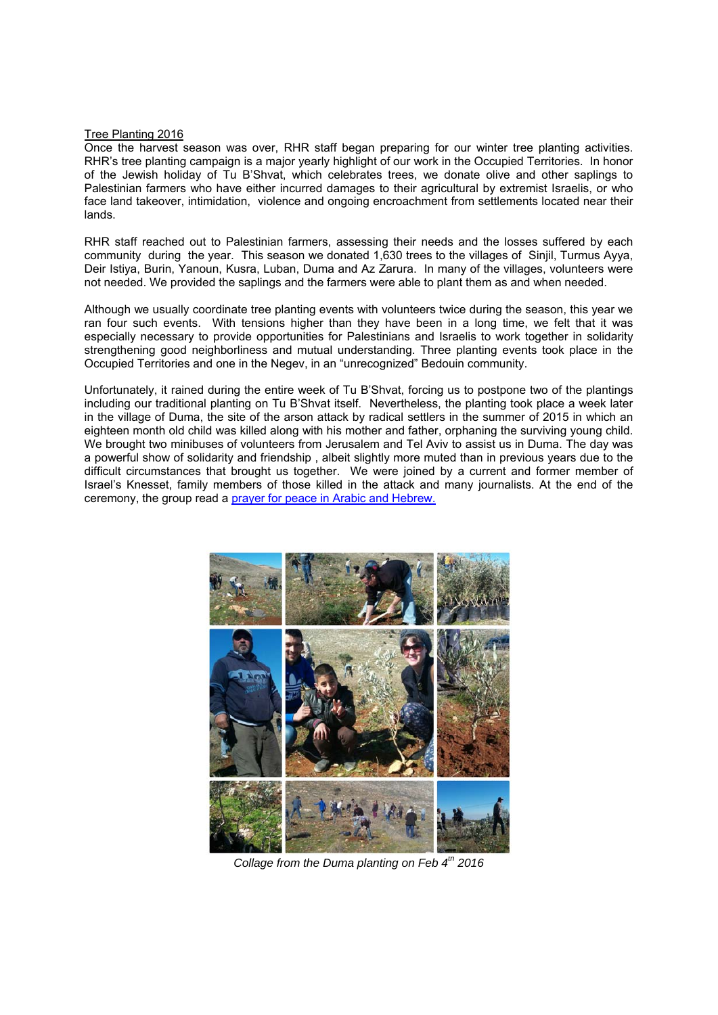#### Tree Planting 2016

Once the harvest season was over, RHR staff began preparing for our winter tree planting activities. RHR's tree planting campaign is a major yearly highlight of our work in the Occupied Territories. In honor of the Jewish holiday of Tu B'Shvat, which celebrates trees, we donate olive and other saplings to Palestinian farmers who have either incurred damages to their agricultural by extremist Israelis, or who face land takeover, intimidation, violence and ongoing encroachment from settlements located near their lands.

RHR staff reached out to Palestinian farmers, assessing their needs and the losses suffered by each community during the year. This season we donated 1,630 trees to the villages of Sinjil, Turmus Ayya, Deir Istiya, Burin, Yanoun, Kusra, Luban, Duma and Az Zarura. In many of the villages, volunteers were not needed. We provided the saplings and the farmers were able to plant them as and when needed.

Although we usually coordinate tree planting events with volunteers twice during the season, this year we ran four such events. With tensions higher than they have been in a long time, we felt that it was especially necessary to provide opportunities for Palestinians and Israelis to work together in solidarity strengthening good neighborliness and mutual understanding. Three planting events took place in the Occupied Territories and one in the Negev, in an "unrecognized" Bedouin community.

Unfortunately, it rained during the entire week of Tu B'Shvat, forcing us to postpone two of the plantings including our traditional planting on Tu B'Shvat itself. Nevertheless, the planting took place a week later in the village of Duma, the site of the arson attack by radical settlers in the summer of 2015 in which an eighteen month old child was killed along with his mother and father, orphaning the surviving young child. We brought two minibuses of volunteers from Jerusalem and Tel Aviv to assist us in Duma. The day was a powerful show of solidarity and friendship , albeit slightly more muted than in previous years due to the difficult circumstances that brought us together. We were joined by a current and former member of Israel's Knesset, family members of those killed in the attack and many journalists. At the end of the ceremony, the group read a prayer for peace in Arabic and Hebrew.



*Collage from the Duma planting on Feb 4th 2016*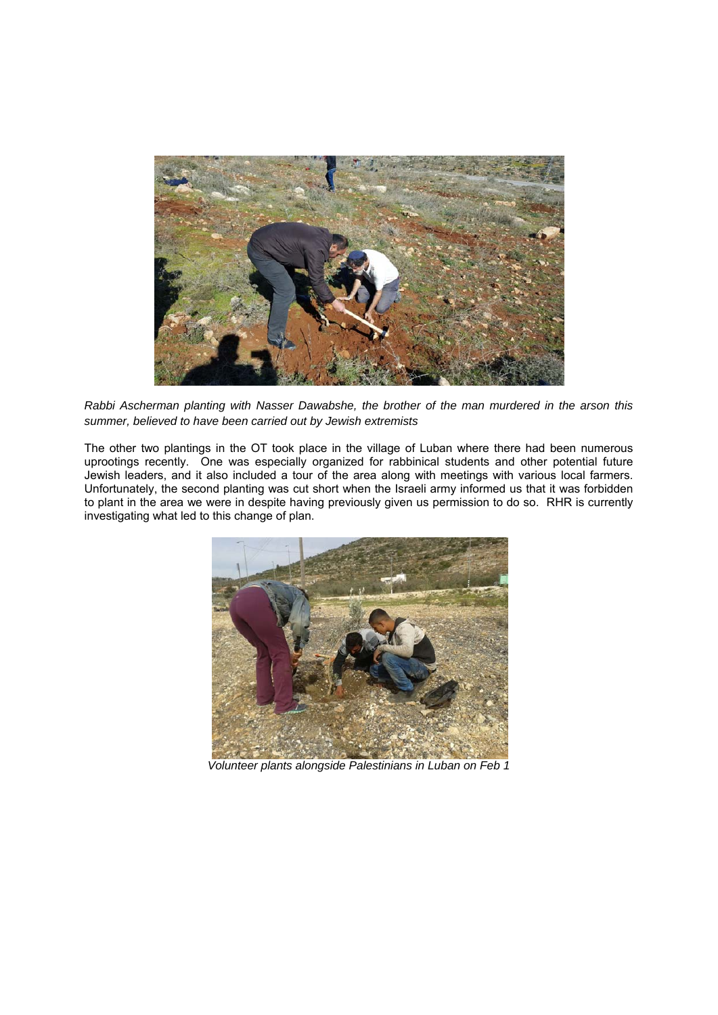

*Rabbi Ascherman planting with Nasser Dawabshe, the brother of the man murdered in the arson this summer, believed to have been carried out by Jewish extremists* 

The other two plantings in the OT took place in the village of Luban where there had been numerous uprootings recently. One was especially organized for rabbinical students and other potential future Jewish leaders, and it also included a tour of the area along with meetings with various local farmers. Unfortunately, the second planting was cut short when the Israeli army informed us that it was forbidden to plant in the area we were in despite having previously given us permission to do so. RHR is currently investigating what led to this change of plan.



*Volunteer plants alongside Palestinians in Luban on Feb 1*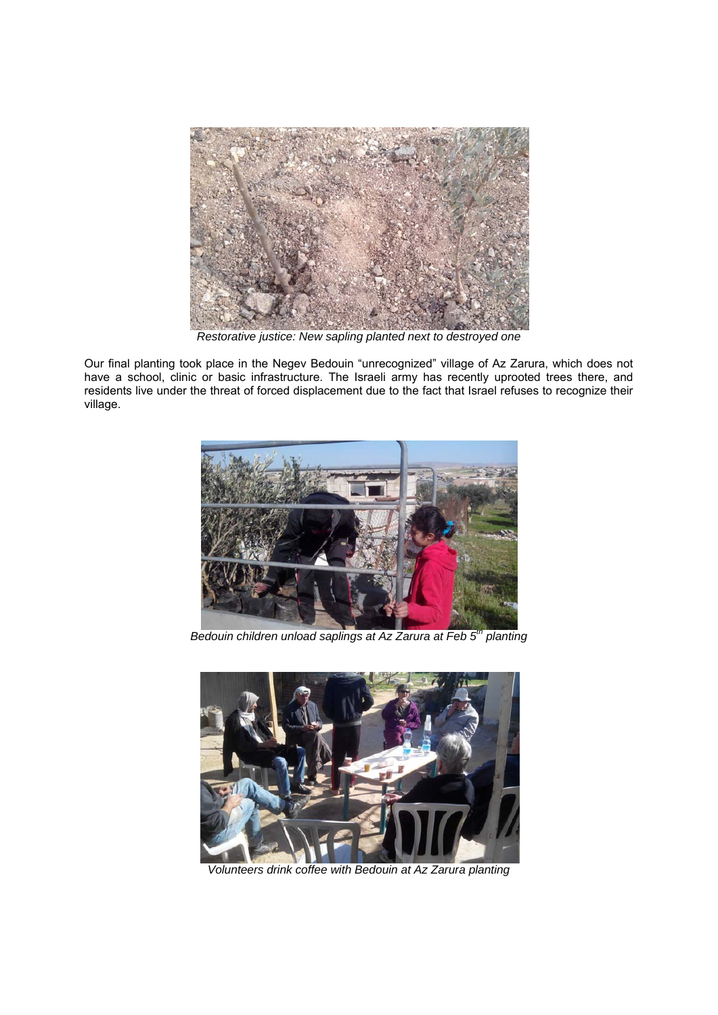

*Restorative justice: New sapling planted next to destroyed one* 

Our final planting took place in the Negev Bedouin "unrecognized" village of Az Zarura, which does not have a school, clinic or basic infrastructure. The Israeli army has recently uprooted trees there, and residents live under the threat of forced displacement due to the fact that Israel refuses to recognize their village.



*Bedouin children unload saplings at Az Zarura at Feb 5th planting* 



*Volunteers drink coffee with Bedouin at Az Zarura planting*